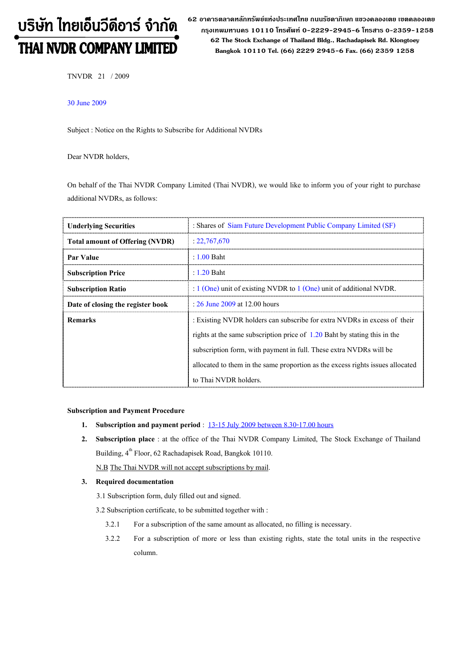# บริษัท ไทยเอ็นวีดีอาร์ จำกัด THAI NVDR COMPANY LIMITED

62 อาดารตลาดหลักทรัพย์แห่งประเทศไทย ถนนรัซดาภิเษก แขวงดลองเตย เขตดลองเตย กรุงเทพมหานดร 10110 โทรศัพท์ 0-2229-2945-6 โทรสาร 0-2359-1258 62 The Stock Exchange of Thailand Bldg., Rachadapisek Rd. Klongtoey Bangkok 10110 Tel. (66) 2229 2945-6 Fax. (66) 2359 1258

TNVDR 21 / 2009

### 30 June 2009

Subject : Notice on the Rights to Subscribe for Additional NVDRs

Dear NVDR holders,

On behalf of the Thai NVDR Company Limited (Thai NVDR), we would like to inform you of your right to purchase additional NVDRs, as follows:

| <b>Underlying Securities</b>           | : Shares of Siam Future Development Public Company Limited (SF)                |  |  |
|----------------------------------------|--------------------------------------------------------------------------------|--|--|
| <b>Total amount of Offering (NVDR)</b> | : 22,767,670                                                                   |  |  |
| Par Value                              | $: 1.00$ Baht                                                                  |  |  |
| <b>Subscription Price</b>              | $: 1.20$ Baht                                                                  |  |  |
| <b>Subscription Ratio</b>              | : $1$ (One) unit of existing NVDR to $1$ (One) unit of additional NVDR.        |  |  |
| Date of closing the register book      | : $26$ June $2009$ at 12.00 hours                                              |  |  |
| <b>Remarks</b>                         | : Existing NVDR holders can subscribe for extra NVDRs in excess of their       |  |  |
|                                        | rights at the same subscription price of $1.20$ Baht by stating this in the    |  |  |
|                                        | subscription form, with payment in full. These extra NVDRs will be             |  |  |
|                                        | allocated to them in the same proportion as the excess rights issues allocated |  |  |
|                                        | to Thai NVDR holders.                                                          |  |  |

#### Subscription and Payment Procedure

- 1. Subscription and payment period : 13-15 July 2009 between 8.30-17.00 hours
- 2. Subscription place : at the office of the Thai NVDR Company Limited, The Stock Exchange of Thailand Building, 4<sup>th</sup> Floor, 62 Rachadapisek Road, Bangkok 10110.

N.B The Thai NVDR will not accept subscriptions by mail.

#### 3. Required documentation

3.1 Subscription form, duly filled out and signed.

3.2 Subscription certificate, to be submitted together with :

- 3.2.1 For a subscription of the same amount as allocated, no filling is necessary.
- 3.2.2 For a subscription of more or less than existing rights, state the total units in the respective column.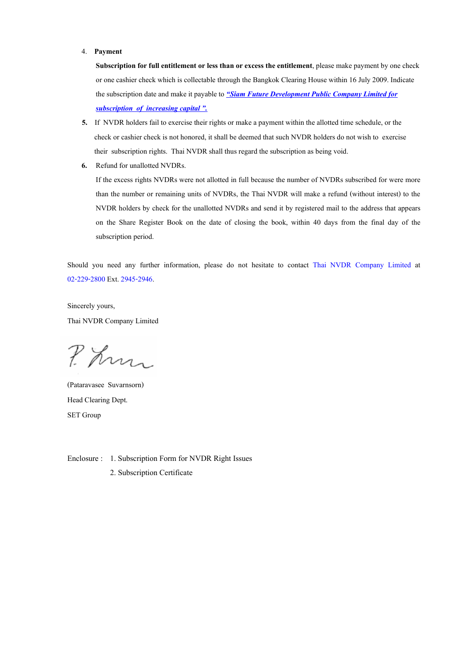#### 4. Payment

Subscription for full entitlement or less than or excess the entitlement, please make payment by one check or one cashier check which is collectable through the Bangkok Clearing House within 16 July 2009. Indicate the subscription date and make it payable to "Siam Future Development Public Company Limited for subscription of increasing capital ".

- 5. If NVDR holders fail to exercise their rights or make a payment within the allotted time schedule, or the check or cashier check is not honored, it shall be deemed that such NVDR holders do not wish to exercise their subscription rights. Thai NVDR shall thus regard the subscription as being void.
- 6. Refund for unallotted NVDRs.

If the excess rights NVDRs were not allotted in full because the number of NVDRs subscribed for were more than the number or remaining units of NVDRs, the Thai NVDR will make a refund (without interest) to the NVDR holders by check for the unallotted NVDRs and send it by registered mail to the address that appears on the Share Register Book on the date of closing the book, within 40 days from the final day of the subscription period.

Should you need any further information, please do not hesitate to contact Thai NVDR Company Limited at 02-229-2800 Ext. 2945-2946.

Sincerely yours, Thai NVDR Company Limited

P. Kn

(Pataravasee Suvarnsorn) Head Clearing Dept. SET Group

Enclosure : 1. Subscription Form for NVDR Right Issues

2. Subscription Certificate